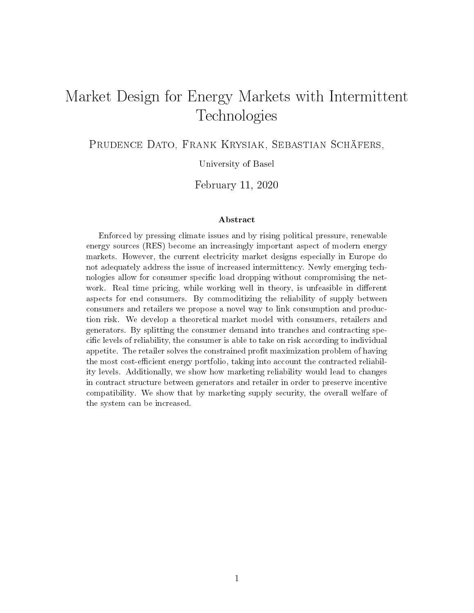# Market Design for Energy Markets with Intermittent Technologies

PRUDENCE DATO, FRANK KRYSIAK, SEBASTIAN SCHÄFERS,

University of Basel

February 11, 2020

#### Abstract

Enforced by pressing climate issues and by rising political pressure, renewable energy sources (RES) become an increasingly important aspect of modern energy markets. However, the current electricity market designs especially in Europe do not adequately address the issue of increased intermittency. Newly emerging technologies allow for consumer specific load dropping without compromising the network. Real time pricing, while working well in theory, is unfeasible in different aspects for end consumers. By commoditizing the reliability of supply between consumers and retailers we propose a novel way to link consumption and production risk. We develop a theoretical market model with consumers, retailers and generators. By splitting the consumer demand into tranches and contracting specic levels of reliability, the consumer is able to take on risk according to individual appetite. The retailer solves the constrained profit maximization problem of having the most cost-efficient energy portfolio, taking into account the contracted reliability levels. Additionally, we show how marketing reliability would lead to changes in contract structure between generators and retailer in order to preserve incentive compatibility. We show that by marketing supply security, the overall welfare of the system can be increased.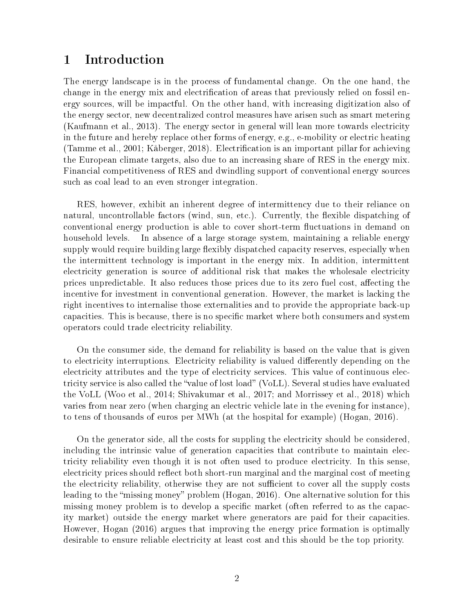# 1 Introduction

The energy landscape is in the process of fundamental change. On the one hand, the change in the energy mix and electrification of areas that previously relied on fossil energy sources, will be impactful. On the other hand, with increasing digitization also of the energy sector, new decentralized control measures have arisen such as smart metering (Kaufmann et al., 2013). The energy sector in general will lean more towards electricity in the future and hereby replace other forms of energy, e.g., e-mobility or electric heating (Tamme et al., 2001; Kåberger, 2018). Electrification is an important pillar for achieving the European climate targets, also due to an increasing share of RES in the energy mix. Financial competitiveness of RES and dwindling support of conventional energy sources such as coal lead to an even stronger integration.

RES, however, exhibit an inherent degree of intermittency due to their reliance on natural, uncontrollable factors (wind, sun, etc.). Currently, the flexible dispatching of conventional energy production is able to cover short-term fluctuations in demand on household levels. In absence of a large storage system, maintaining a reliable energy supply would require building large flexibly dispatched capacity reserves, especially when the intermittent technology is important in the energy mix. In addition, intermittent electricity generation is source of additional risk that makes the wholesale electricity prices unpredictable. It also reduces those prices due to its zero fuel cost, affecting the incentive for investment in conventional generation. However, the market is lacking the right incentives to internalise those externalities and to provide the appropriate back-up capacities. This is because, there is no specific market where both consumers and system operators could trade electricity reliability.

On the consumer side, the demand for reliability is based on the value that is given to electricity interruptions. Electricity reliability is valued differently depending on the electricity attributes and the type of electricity services. This value of continuous electricity service is also called the "value of lost load" (VoLL). Several studies have evaluated the VoLL (Woo et al., 2014; Shivakumar et al., 2017; and Morrissey et al., 2018) which varies from near zero (when charging an electric vehicle late in the evening for instance), to tens of thousands of euros per MWh (at the hospital for example) (Hogan, 2016).

On the generator side, all the costs for suppling the electricity should be considered, including the intrinsic value of generation capacities that contribute to maintain electricity reliability even though it is not often used to produce electricity. In this sense, electricity prices should reflect both short-run marginal and the marginal cost of meeting the electricity reliability, otherwise they are not sufficient to cover all the supply costs leading to the "missing money" problem (Hogan, 2016). One alternative solution for this missing money problem is to develop a specific market (often referred to as the capacity market) outside the energy market where generators are paid for their capacities. However, Hogan (2016) argues that improving the energy price formation is optimally desirable to ensure reliable electricity at least cost and this should be the top priority.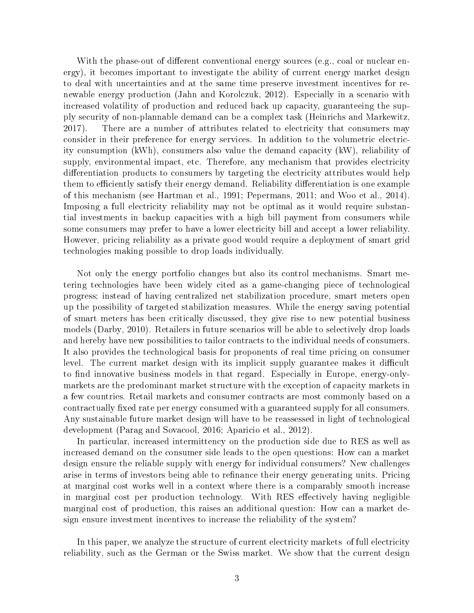With the phase-out of different conventional energy sources (e.g., coal or nuclear energy), it becomes important to investigate the ability of current energy market design to deal with uncertainties and at the same time preserve investment incentives for renewable energy production (Jahn and Korolczuk, 2012). Especially in a scenario with increased volatility of production and reduced back up capacity, guaranteeing the supply security of non-plannable demand can be a complex task (Heinrichs and Markewitz, 2017). There are a number of attributes related to electricity that consumers may consider in their preference for energy services. In addition to the volumetric electricity consumption (kWh), consumers also value the demand capacity (kW), reliability of supply, environmental impact, etc. Therefore, any mechanism that provides electricity differentiation products to consumers by targeting the electricity attributes would help them to efficiently satisfy their energy demand. Reliability differentiation is one example of this mechanism (see Hartman et al., 1991; Pepermans, 2011; and Woo et al., 2014). Imposing a full electricity reliability may not be optimal as it would require substantial investments in backup capacities with a high bill payment from consumers while some consumers may prefer to have a lower electricity bill and accept a lower reliability. However, pricing reliability as a private good would require a deployment of smart grid technologies making possible to drop loads individually.

Not only the energy portfolio changes but also its control mechanisms. Smart metering technologies have been widely cited as a game-changing piece of technological progress; instead of having centralized net stabilization procedure, smart meters open up the possibility of targeted stabilization measures. While the energy saving potential of smart meters has been critically discussed, they give rise to new potential business models (Darby, 2010). Retailers in future scenarios will be able to selectively drop loads and hereby have new possibilities to tailor contracts to the individual needs of consumers. It also provides the technological basis for proponents of real time pricing on consumer level. The current market design with its implicit supply guarantee makes it difficult to find innovative business models in that regard. Especially in Europe, energy-onlymarkets are the predominant market structure with the exception of capacity markets in a few countries. Retail markets and consumer contracts are most commonly based on a contractually fixed rate per energy consumed with a guaranteed supply for all consumers. Any sustainable future market design will have to be reassessed in light of technological development (Parag and Sovacool, 2016; Aparicio et al., 2012).

In particular, increased intermittency on the production side due to RES as well as increased demand on the consumer side leads to the open questions: How can a market design ensure the reliable supply with energy for individual consumers? New challenges arise in terms of investors being able to refinance their energy generating units. Pricing at marginal cost works well in a context where there is a comparably smooth increase in marginal cost per production technology. With RES effectively having negligible marginal cost of production, this raises an additional question: How can a market design ensure investment incentives to increase the reliability of the system?

In this paper, we analyze the structure of current electricity markets of full electricity reliability, such as the German or the Swiss market. We show that the current design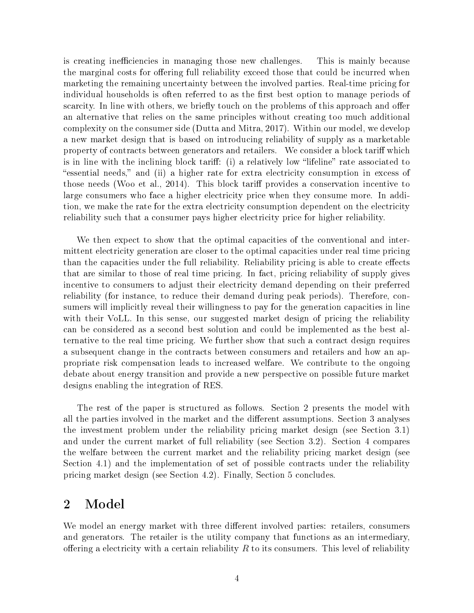is creating inefficiencies in managing those new challenges. This is mainly because the marginal costs for offering full reliability exceed those that could be incurred when marketing the remaining uncertainty between the involved parties. Real-time pricing for individual households is often referred to as the first best option to manage periods of scarcity. In line with others, we briefly touch on the problems of this approach and offer an alternative that relies on the same principles without creating too much additional complexity on the consumer side (Dutta and Mitra, 2017). Within our model, we develop a new market design that is based on introducing reliability of supply as a marketable property of contracts between generators and retailers. We consider a block tariff which is in line with the inclining block tariff: (i) a relatively low "lifeline" rate associated to essential needs," and (ii) a higher rate for extra electricity consumption in excess of those needs (Woo et al., 2014). This block tariff provides a conservation incentive to large consumers who face a higher electricity price when they consume more. In addition, we make the rate for the extra electricity consumption dependent on the electricity reliability such that a consumer pays higher electricity price for higher reliability.

We then expect to show that the optimal capacities of the conventional and intermittent electricity generation are closer to the optimal capacities under real time pricing than the capacities under the full reliability. Reliability pricing is able to create effects that are similar to those of real time pricing. In fact, pricing reliability of supply gives incentive to consumers to adjust their electricity demand depending on their preferred reliability (for instance, to reduce their demand during peak periods). Therefore, consumers will implicitly reveal their willingness to pay for the generation capacities in line with their VoLL. In this sense, our suggested market design of pricing the reliability can be considered as a second best solution and could be implemented as the best alternative to the real time pricing. We further show that such a contract design requires a subsequent change in the contracts between consumers and retailers and how an appropriate risk compensation leads to increased welfare. We contribute to the ongoing debate about energy transition and provide a new perspective on possible future market designs enabling the integration of RES.

The rest of the paper is structured as follows. Section 2 presents the model with all the parties involved in the market and the different assumptions. Section 3 analyses the investment problem under the reliability pricing market design (see Section 3.1) and under the current market of full reliability (see Section 3.2). Section 4 compares the welfare between the current market and the reliability pricing market design (see Section 4.1) and the implementation of set of possible contracts under the reliability pricing market design (see Section 4.2). Finally, Section 5 concludes.

# 2 Model

We model an energy market with three different involved parties: retailers, consumers and generators. The retailer is the utility company that functions as an intermediary, offering a electricity with a certain reliability  $R$  to its consumers. This level of reliability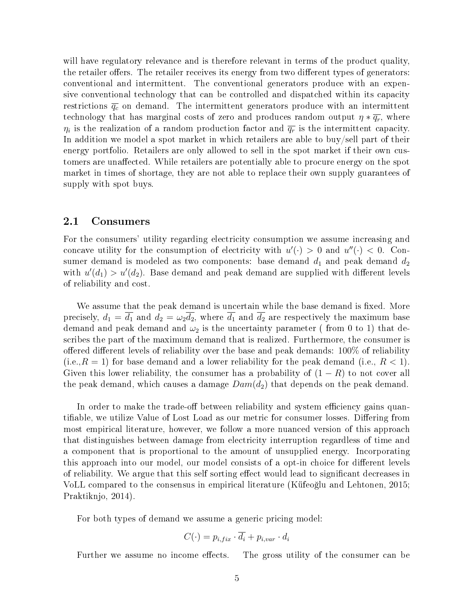will have regulatory relevance and is therefore relevant in terms of the product quality, the retailer offers. The retailer receives its energy from two different types of generators: conventional and intermittent. The conventional generators produce with an expensive conventional technology that can be controlled and dispatched within its capacity restrictions  $\overline{q_c}$  on demand. The intermittent generators produce with an intermittent technology that has marginal costs of zero and produces random output  $\eta * \overline{q_r}$ , where  $\eta_i$  is the realization of a random production factor and  $\overline{q_r}$  is the intermittent capacity. In addition we model a spot market in which retailers are able to buy/sell part of their energy portfolio. Retailers are only allowed to sell in the spot market if their own customers are unaffected. While retailers are potentially able to procure energy on the spot market in times of shortage, they are not able to replace their own supply guarantees of supply with spot buys.

## 2.1 Consumers

For the consumers' utility regarding electricity consumption we assume increasing and concave utility for the consumption of electricity with  $u'(\cdot) > 0$  and  $u''(\cdot) < 0$ . Consumer demand is modeled as two components: base demand  $d_1$  and peak demand  $d_2$ with  $u'(d_1) > u'(d_2)$ . Base demand and peak demand are supplied with different levels of reliability and cost.

We assume that the peak demand is uncertain while the base demand is fixed. More precisely,  $d_1 = \overline{d_1}$  and  $d_2 = \omega_2 \overline{d_2}$ , where  $\overline{d_1}$  and  $\overline{d_2}$  are respectively the maximum base demand and peak demand and  $\omega_2$  is the uncertainty parameter (from 0 to 1) that describes the part of the maximum demand that is realized. Furthermore, the consumer is offered different levels of reliability over the base and peak demands:  $100\%$  of reliability  $(i.e., R = 1)$  for base demand and a lower reliability for the peak demand (i.e.,  $R < 1$ ). Given this lower reliability, the consumer has a probability of  $(1 - R)$  to not cover all the peak demand, which causes a damage  $Dom(d_2)$  that depends on the peak demand.

In order to make the trade-off between reliability and system efficiency gains quantifiable, we utilize Value of Lost Load as our metric for consumer losses. Differing from most empirical literature, however, we follow a more nuanced version of this approach that distinguishes between damage from electricity interruption regardless of time and a component that is proportional to the amount of unsupplied energy. Incorporating this approach into our model, our model consists of a opt-in choice for different levels of reliability. We argue that this self sorting effect would lead to significant decreases in VoLL compared to the consensus in empirical literature (Küfeo§lu and Lehtonen, 2015; Praktiknjo, 2014).

For both types of demand we assume a generic pricing model:

$$
C(\cdot) = p_{i, fix} \cdot \overline{d_i} + p_{i, var} \cdot d_i
$$

Further we assume no income effects. The gross utility of the consumer can be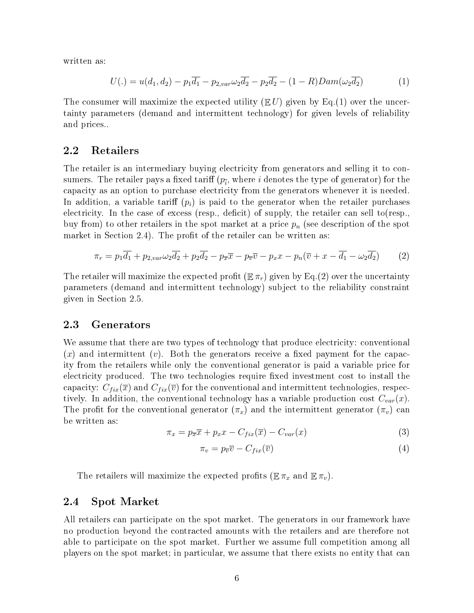written as:

$$
U(.) = u(d_1, d_2) - p_1 \overline{d_1} - p_{2, var} \omega_2 \overline{d_2} - p_2 \overline{d_2} - (1 - R) Dam(\omega_2 \overline{d_2})
$$
(1)

The consumer will maximize the expected utility  $(E U)$  given by Eq.(1) over the uncertainty parameters (demand and intermittent technology) for given levels of reliability and prices..

### 2.2 Retailers

The retailer is an intermediary buying electricity from generators and selling it to consumers. The retailer pays a fixed tariff  $(p_{\overline i},$  where  $i$  denotes the type of generator) for the capacity as an option to purchase electricity from the generators whenever it is needed. In addition, a variable tariff  $(p_i)$  is paid to the generator when the retailer purchases electricity. In the case of excess (resp., deficit) of supply, the retailer can sell to  $(\text{resp.},\text{ }$ buy from) to other retailers in the spot market at a price  $p_n$  (see description of the spot market in Section 2.4). The profit of the retailer can be written as:

$$
\pi_r = p_1 \overline{d_1} + p_{2, var} \omega_2 \overline{d_2} + p_2 \overline{d_2} - p_{\overline{x}} \overline{x} - p_{\overline{v}} \overline{v} - p_x x - p_n (\overline{v} + x - \overline{d_1} - \omega_2 \overline{d_2}) \tag{2}
$$

The retailer will maximize the expected profit  $(\mathbb{E} \pi_r)$  given by Eq.(2) over the uncertainty parameters (demand and intermittent technology) subject to the reliability constraint given in Section 2.5.

### 2.3 Generators

We assume that there are two types of technology that produce electricity: conventional  $(x)$  and intermittent  $(v)$ . Both the generators receive a fixed payment for the capacity from the retailers while only the conventional generator is paid a variable price for electricity produced. The two technologies require fixed investment cost to install the capacity:  $C_{fix}(\overline{x})$  and  $C_{fix}(\overline{v})$  for the conventional and intermittent technologies, respectively. In addition, the conventional technology has a variable production cost  $C_{var}(x)$ . The profit for the conventional generator  $(\pi_x)$  and the intermittent generator  $(\pi_v)$  can be written as:

$$
\pi_x = p_{\overline{x}} \overline{x} + p_x x - C_{fix}(\overline{x}) - C_{var}(x) \tag{3}
$$

$$
\pi_v = p_{\overline{v}} \overline{v} - C_{fix}(\overline{v}) \tag{4}
$$

The retailers will maximize the expected profits ( $\mathbb{E} \pi_x$  and  $\mathbb{E} \pi_v$ ).

### 2.4 Spot Market

All retailers can participate on the spot market. The generators in our framework have no production beyond the contracted amounts with the retailers and are therefore not able to participate on the spot market. Further we assume full competition among all players on the spot market; in particular, we assume that there exists no entity that can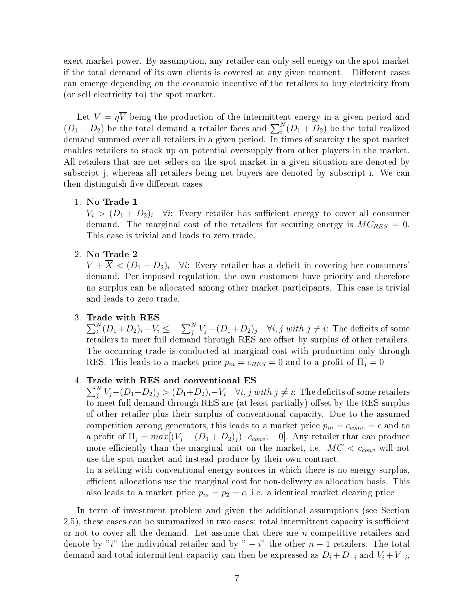exert market power. By assumption, any retailer can only sell energy on the spot market if the total demand of its own clients is covered at any given moment. Different cases can emerge depending on the economic incentive of the retailers to buy electricity from (or sell electricity to) the spot market.

Let  $V = \eta V$  being the production of the intermittent energy in a given period and  $(D_1 + D_2)$  be the total demand a retailer faces and  $\sum_i^N(D_1 + D_2)$  be the total realized demand summed over all retailers in a given period. In times of scarcity the spot market enables retailers to stock up on potential oversupply from other players in the market. All retailers that are net sellers on the spot market in a given situation are denoted by subscript j, whereas all retailers being net buyers are denoted by subscript i. We can then distinguish five different cases

1. No Trade 1

 $V_i > (D_1 + D_2)_i$   $\forall i$ : Every retailer has sufficient energy to cover all consumer demand. The marginal cost of the retailers for securing energy is  $MC_{RES} = 0$ . This case is trivial and leads to zero trade.

2. No Trade 2

 $V + \overline{X} < (D_1 + D_2)_i$   $\forall i$ : Every retailer has a deficit in covering her consumers' demand. Per imposed regulation, the own customers have priority and therefore no surplus can be allocated among other market participants. This case is trivial and leads to zero trade.

#### 3. Trade with RES

 $\sum_{i}^{N} (D_1 + D_2)_i - V_i \leq \quad \sum_{j}^{N} V_j - (D_1 + D_2)_j \quad \forall i,j \; with \; j \neq i: \; \text{The \; deficits \; of \; some}$ retailers to meet full demand through RES are offset by surplus of other retailers. The occurring trade is conducted at marginal cost with production only through RES. This leads to a market price  $p_m = c_{RES} = 0$  and to a profit of  $\Pi_i = 0$ 

### 4. Trade with RES and conventional ES

 $\sum_j^N V_j {-} (D_1{+}D_2)_j > (D_1{+}D_2)_i{-}V_i \quad \forall i,j \; with \; j \neq i \colon \text{The deficits of some retailers}$ to meet full demand through RES are (at least partially) offset by the RES surplus of other retailer plus their surplus of conventional capacity. Due to the assumed competition among generators, this leads to a market price  $p_m = c_{conv.} = c$  and to a profit of  $\Pi_j = max[(V_j - (D_1 + D_2)_j) \cdot c_{conv}; 0]$ . Any retailer that can produce more efficiently than the marginal unit on the market, i.e.  $MC < c_{conv}$  will not use the spot market and instead produce by their own contract.

In a setting with conventional energy sources in which there is no energy surplus, efficient allocations use the marginal cost for non-delivery as allocation basis. This also leads to a market price  $p_m = p_2 = c$ , i.e. a identical market clearing price

In term of investment problem and given the additional assumptions (see Section 2.5), these cases can be summarized in two cases: total intermittent capacity is sufficient or not to cover all the demand. Let assume that there are  $n$  competitive retailers and denote by "i" the individual retailer and by "  $-i$ " the other  $n-1$  retailers. The total demand and total intermittent capacity can then be expressed as  $D_i + D_{-i}$  and  $V_i + V_{-i}$ ,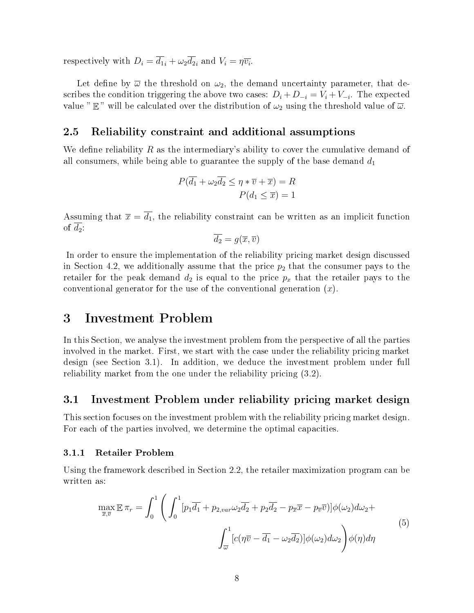respectively with  $D_i = d_{1i} + \omega_2 d_{2i}$  and  $V_i = \eta \overline{v_i}$ .

Let define by  $\overline{\omega}$  the threshold on  $\omega_2$ , the demand uncertainty parameter, that describes the condition triggering the above two cases:  $D_i + D_{-i} = V_i + V_{-i}$ . The expected value "  $\mathbb{E}$ " will be calculated over the distribution of  $\omega_2$  using the threshold value of  $\overline{\omega}$ .

# 2.5 Reliability constraint and additional assumptions

We define reliability R as the intermediary's ability to cover the cumulative demand of all consumers, while being able to guarantee the supply of the base demand  $d_1$ 

$$
P(\overline{d_1} + \omega_2 \overline{d_2} \le \eta * \overline{v} + \overline{x}) = R
$$

$$
P(d_1 \le \overline{x}) = 1
$$

Assuming that  $\bar{x} = \bar{d}_1$ , the reliability constraint can be written as an implicit function of  $d_2$ :

$$
\overline{d_2} = g(\overline{x}, \overline{v})
$$

In order to ensure the implementation of the reliability pricing market design discussed in Section 4.2, we additionally assume that the price  $p_2$  that the consumer pays to the retailer for the peak demand  $d_2$  is equal to the price  $p_x$  that the retailer pays to the conventional generator for the use of the conventional generation  $(x)$ .

# 3 Investment Problem

In this Section, we analyse the investment problem from the perspective of all the parties involved in the market. First, we start with the case under the reliability pricing market design (see Section 3.1). In addition, we deduce the investment problem under full reliability market from the one under the reliability pricing (3.2).

# 3.1 Investment Problem under reliability pricing market design

This section focuses on the investment problem with the reliability pricing market design. For each of the parties involved, we determine the optimal capacities.

#### 3.1.1 Retailer Problem

Using the framework described in Section 2.2, the retailer maximization program can be written as:

$$
\max_{\overline{x}, \overline{v}} \mathbb{E} \pi_r = \int_0^1 \left( \int_0^1 [p_1 \overline{d_1} + p_{2, var} \omega_2 \overline{d_2} + p_2 \overline{d_2} - p_{\overline{x}} \overline{x} - p_{\overline{v}} \overline{v}] \phi(\omega_2) d\omega_2 + \int_{\overline{\omega}}^1 [c(\eta \overline{v} - \overline{d_1} - \omega_2 \overline{d_2})] \phi(\omega_2) d\omega_2 \right) \phi(\eta) d\eta \tag{5}
$$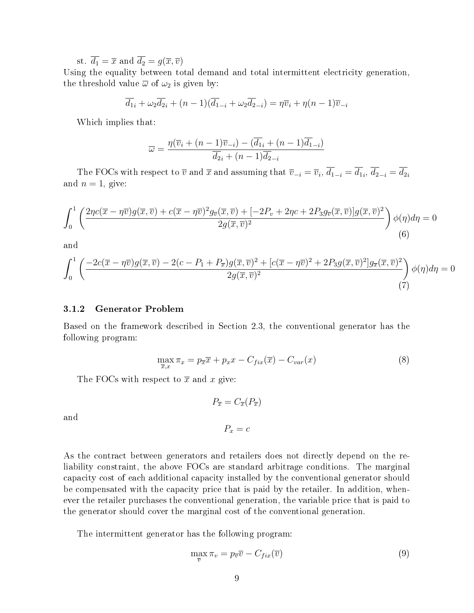st.  $\overline{d_1} = \overline{x}$  and  $\overline{d_2} = g(\overline{x}, \overline{v})$ 

Using the equality between total demand and total intermittent electricity generation, the threshold value  $\overline{\omega}$  of  $\omega_2$  is given by:

$$
\overline{d_1}_i + \omega_2 \overline{d_2}_i + (n-1)(\overline{d_1}_{-i} + \omega_2 \overline{d_2}_{-i}) = \eta \overline{v}_i + \eta (n-1) \overline{v}_{-i}
$$

Which implies that:

$$
\overline{\omega} = \frac{\eta(\overline{v}_i + (n-1)\overline{v}_{-i}) - (\overline{d}_{1i} + (n-1)\overline{d}_{1-i})}{\overline{d}_{2i} + (n-1)\overline{d}_{2-i}}
$$

The FOCs with respect to  $\overline{v}$  and  $\overline{x}$  and assuming that  $\overline{v}_{-i} = \overline{v}_i$ ,  $d_{1-i} = d_{1i}$ ,  $d_{2-i} = d_{2i}$ and  $n = 1$ , give:

$$
\int_0^1 \left( \frac{2\eta c(\overline{x} - \eta \overline{v})g(\overline{x}, \overline{v}) + c(\overline{x} - \eta \overline{v})^2 g_{\overline{v}}(\overline{x}, \overline{v}) + [-2P_v + 2\eta c + 2P_3 g_{\overline{v}}(\overline{x}, \overline{v})]g(\overline{x}, \overline{v})^2}{2g(\overline{x}, \overline{v})^2} \right) \phi(\eta) d\eta = 0
$$
\n(6)

and

$$
\int_0^1 \left( \frac{-2c(\overline{x} - \eta \overline{v})g(\overline{x}, \overline{v}) - 2(c - P_1 + P_{\overline{x}})g(\overline{x}, \overline{v})^2 + [c(\overline{x} - \eta \overline{v})^2 + 2P_3 g(\overline{x}, \overline{v})^2] g_{\overline{x}}(\overline{x}, \overline{v})^2}{2g(\overline{x}, \overline{v})^2} \right) \phi(\eta) d\eta = 0
$$
\n(7)

#### 3.1.2 Generator Problem

Based on the framework described in Section 2.3, the conventional generator has the following program:

 $P_{\overline{x}} = C_{\overline{x}}(P_{\overline{x}})$ 

 $P_x = c$ 

$$
\max_{\overline{x},x} \pi_x = p_{\overline{x}} \overline{x} + p_x x - C_{fix}(\overline{x}) - C_{var}(x) \tag{8}
$$

The FOCs with respect to  $\bar{x}$  and x give:

$$
^{\mathrm{and}}
$$

As the contract between generators and retailers does not directly depend on the reliability constraint, the above FOCs are standard arbitrage conditions. The marginal capacity cost of each additional capacity installed by the conventional generator should be compensated with the capacity price that is paid by the retailer. In addition, whenever the retailer purchases the conventional generation, the variable price that is paid to the generator should cover the marginal cost of the conventional generation.

The intermittent generator has the following program:

$$
\max_{\overline{v}} \pi_v = p_{\overline{v}} \overline{v} - C_{fix}(\overline{v})
$$
\n(9)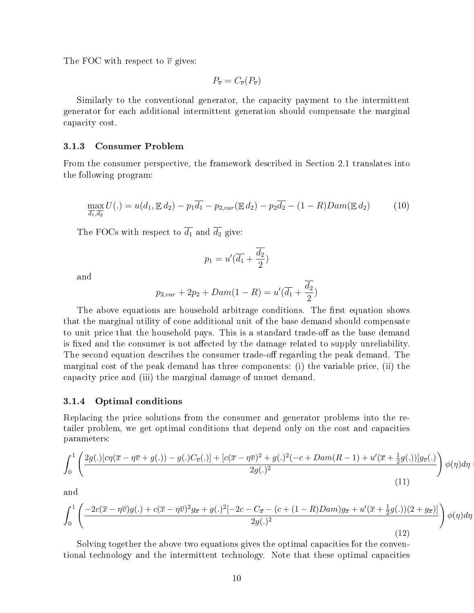The FOC with respect to  $\overline{v}$  gives:

$$
P_{\overline{v}} = C_{\overline{v}}(P_{\overline{v}})
$$

Similarly to the conventional generator, the capacity payment to the intermittent generator for each additional intermittent generation should compensate the marginal capacity cost.

#### 3.1.3 Consumer Problem

From the consumer perspective, the framework described in Section 2.1 translates into the following program:

$$
\max_{\overline{d_1}, \overline{d_2}} U(.) = u(d_1, \mathbb{E} d_2) - p_1 \overline{d_1} - p_{2, var}(\mathbb{E} d_2) - p_2 \overline{d_2} - (1 - R) Dam(\mathbb{E} d_2)
$$
(10)

The FOCs with respect to  $\overline{d_1}$  and  $\overline{d_2}$  give:

$$
p_1 = u'(\overline{d_1} + \frac{\overline{d_2}}{2})
$$

and

$$
p_{2,var} + 2p_2 + Dam(1 - R) = u'(\overline{d_1} + \frac{\overline{d_2}}{2})
$$

The above equations are household arbitrage conditions. The first equation shows that the marginal utility of cone additional unit of the base demand should compensate to unit price that the household pays. This is a standard trade-off as the base demand is fixed and the consumer is not affected by the damage related to supply unreliability. The second equation describes the consumer trade-off regarding the peak demand. The marginal cost of the peak demand has three components: (i) the variable price, (ii) the capacity price and (iii) the marginal damage of unmet demand.

#### 3.1.4 Optimal conditions

Replacing the price solutions from the consumer and generator problems into the retailer problem, we get optimal conditions that depend only on the cost and capacities parameters:

$$
\int_0^1 \left( \frac{2g(.)\left[c\eta(\overline{x} - \eta\overline{v} + g(.)) - g(.)C_{\overline{v}}(.)\right] + \left[c(\overline{x} - \eta\overline{v})^2 + g(.)^2(-c + Dam(R - 1) + u'(\overline{x} + \frac{1}{2}g(.))\right]g_{\overline{v}}(.)}{2g(.)^2} \right) \phi(\eta)d\eta
$$
\n(11)

and

$$
\int_0^1 \left( \frac{-2c(\overline{x} - \eta \overline{v})g(.) + c(\overline{x} - \eta \overline{v})^2 g_{\overline{x}} + g(.)^2 [-2c - C_{\overline{x}} - (c + (1 - R)Dam)g_{\overline{x}} + u'(\overline{x} + \frac{1}{2}g(.))(2 + g_{\overline{x}})]}{2g(.)^2} \right) \phi(\eta) d\eta
$$
\n(12)

Solving together the above two equations gives the optimal capacities for the conventional technology and the intermittent technology. Note that these optimal capacities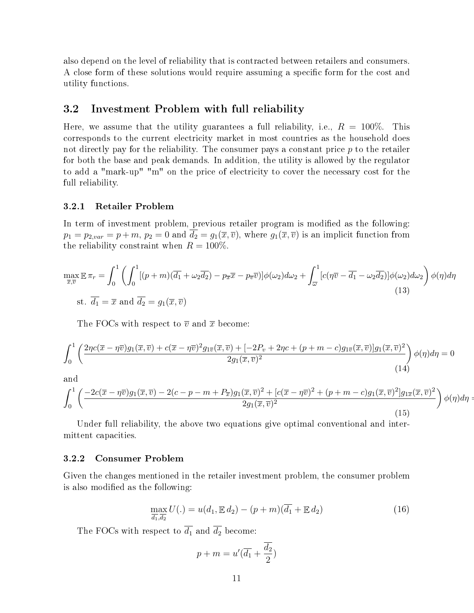also depend on the level of reliability that is contracted between retailers and consumers. A close form of these solutions would require assuming a specific form for the cost and utility functions.

# 3.2 Investment Problem with full reliability

Here, we assume that the utility guarantees a full reliability, i.e.,  $R = 100\%$ . This corresponds to the current electricity market in most countries as the household does not directly pay for the reliability. The consumer pays a constant price  $p$  to the retailer for both the base and peak demands. In addition, the utility is allowed by the regulator to add a "mark-up" "m" on the price of electricity to cover the necessary cost for the full reliability.

#### 3.2.1 Retailer Problem

In term of investment problem, previous retailer program is modified as the following:  $p_1 = p_{2,var} = p + m$ ,  $p_2 = 0$  and  $\overline{d_2} = g_1(\overline{x}, \overline{v})$ , where  $g_1(\overline{x}, \overline{v})$  is an implicit function from the reliability constraint when  $R = 100\%$ .

$$
\max_{\overline{x},\overline{v}} \mathbb{E} \pi_r = \int_0^1 \left( \int_0^1 [(p+m)(\overline{d_1} + \omega_2 \overline{d_2}) - p_{\overline{x}} \overline{x} - p_{\overline{v}} \overline{v})] \phi(\omega_2) d\omega_2 + \int_{\overline{\omega}}^1 [c(\eta \overline{v} - \overline{d_1} - \omega_2 \overline{d_2})] \phi(\omega_2) d\omega_2 \right) \phi(\eta) d\eta
$$
\n
$$
\text{s.t. } \overline{d_1} = \overline{x} \text{ and } \overline{d_2} = g_1(\overline{x}, \overline{v})
$$
\n(13)

The FOCs with respect to  $\overline{v}$  and  $\overline{x}$  become:

$$
\int_0^1 \left( \frac{2\eta c(\overline{x} - \eta \overline{v})g_1(\overline{x}, \overline{v}) + c(\overline{x} - \eta \overline{v})^2 g_{1\overline{v}}(\overline{x}, \overline{v}) + [-2P_v + 2\eta c + (p + m - c)g_{1\overline{v}}(\overline{x}, \overline{v})]g_1(\overline{x}, \overline{v})^2}{2g_1(\overline{x}, \overline{v})^2} \right) \phi(\eta) d\eta = 0
$$
\n(14)

and

$$
\int_0^1 \left( \frac{-2c(\overline{x} - \eta \overline{v})g_1(\overline{x}, \overline{v}) - 2(c - p - m + P_{\overline{x}})g_1(\overline{x}, \overline{v})^2 + [c(\overline{x} - \eta \overline{v})^2 + (p + m - c)g_1(\overline{x}, \overline{v})^2]g_{1\overline{x}}(\overline{x}, \overline{v})^2}{2g_1(\overline{x}, \overline{v})^2} \right) \phi(\eta) d\eta =
$$
\n(15)

Under full reliability, the above two equations give optimal conventional and intermittent capacities.

#### 3.2.2 Consumer Problem

Given the changes mentioned in the retailer investment problem, the consumer problem is also modified as the following:

$$
\max_{\overline{d_1}, \overline{d_2}} U(.) = u(d_1, \mathbb{E} d_2) - (p+m)(\overline{d_1} + \mathbb{E} d_2)
$$
\n(16)

The FOCs with respect to  $\overline{d_1}$  and  $\overline{d_2}$  become:

$$
p + m = u'(\overline{d_1} + \frac{\overline{d_2}}{2})
$$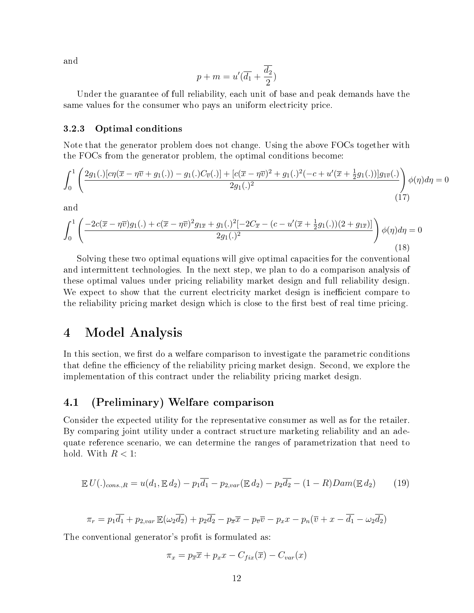and

$$
p+m=u'(\overline{d_1}+\frac{\overline{d_2}}{2})
$$

Under the guarantee of full reliability, each unit of base and peak demands have the same values for the consumer who pays an uniform electricity price.

#### 3.2.3 Optimal conditions

Note that the generator problem does not change. Using the above FOCs together with the FOCs from the generator problem, the optimal conditions become:

$$
\int_0^1 \left( \frac{2g_1(.)[c\eta(\overline{x} - \eta \overline{v} + g_1(.)) - g_1(.)C_{\overline{v}}(.)] + [c(\overline{x} - \eta \overline{v})^2 + g_1(.)^2(-c + u'(\overline{x} + \frac{1}{2}g_1(.))]g_{1\overline{v}}(.)}{2g_1(.)^2} \right) \phi(\eta)d\eta = 0
$$
\n(17)

and

$$
\int_0^1 \left( \frac{-2c(\overline{x} - \eta \overline{v})g_1(.) + c(\overline{x} - \eta \overline{v})^2 g_{1\overline{x}} + g_1(.)^2 [-2C_{\overline{x}} - (c - u'(\overline{x} + \frac{1}{2}g_1(.))(2 + g_{1\overline{x}})]}{2g_1(.)^2} \right) \phi(\eta) d\eta = 0
$$
\n(18)

Solving these two optimal equations will give optimal capacities for the conventional and intermittent technologies. In the next step, we plan to do a comparison analysis of these optimal values under pricing reliability market design and full reliability design. We expect to show that the current electricity market design is inefficient compare to the reliability pricing market design which is close to the first best of real time pricing.

# 4 Model Analysis

In this section, we first do a welfare comparison to investigate the parametric conditions that define the efficiency of the reliability pricing market design. Second, we explore the implementation of this contract under the reliability pricing market design.

# 4.1 (Preliminary) Welfare comparison

Consider the expected utility for the representative consumer as well as for the retailer. By comparing joint utility under a contract structure marketing reliability and an adequate reference scenario, we can determine the ranges of parametrization that need to hold. With  $R < 1$ :

$$
\mathbb{E} U(.)_{cons.,R} = u(d_1, \mathbb{E} d_2) - p_1 \overline{d_1} - p_{2,var}(\mathbb{E} d_2) - p_2 \overline{d_2} - (1 - R)Dam(\mathbb{E} d_2)
$$
(19)

$$
\pi_r = p_1 \overline{d_1} + p_{2, var} \mathbb{E}(\omega_2 \overline{d_2}) + p_2 \overline{d_2} - p_{\overline{x}} \overline{x} - p_{\overline{v}} \overline{v} - p_x x - p_n (\overline{v} + x - \overline{d_1} - \omega_2 \overline{d_2})
$$

The conventional generator's profit is formulated as:

 $\pi_x = p_{\overline{x}} \overline{x} + p_x x - C_{fix}(\overline{x}) - C_{var}(x)$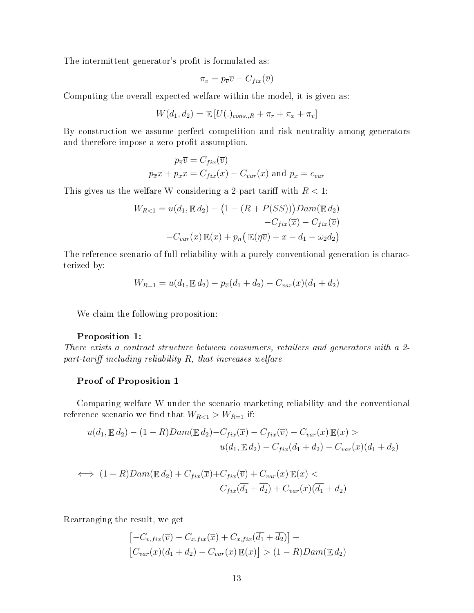The intermittent generator's profit is formulated as:

$$
\pi_v = p_{\overline{v}} \overline{v} - C_{fix}(\overline{v})
$$

Computing the overall expected welfare within the model, it is given as:

$$
W(\overline{d_1}, \overline{d_2}) = \mathbb{E}[U(.)_{cons.,R} + \pi_r + \pi_x + \pi_v]
$$

By construction we assume perfect competition and risk neutrality among generators and therefore impose a zero profit assumption.

$$
p_{\overline{v}} \overline{v} = C_{fix}(\overline{v})
$$
  

$$
p_{\overline{x}} \overline{x} + p_x x = C_{fix}(\overline{x}) - C_{var}(x)
$$
 and  $p_x = c_{var}$ 

This gives us the welfare W considering a 2-part tariff with  $R < 1$ :

$$
W_{R<1} = u(d_1, \mathbb{E} d_2) - (1 - (R + P(SS)))Dam(\mathbb{E} d_2)
$$

$$
-C_{fix}(\overline{x}) - C_{fix}(\overline{v})
$$

$$
-C_{var}(x) \mathbb{E}(x) + p_n(\mathbb{E}(\eta \overline{v}) + x - \overline{d_1} - \omega_2 \overline{d_2})
$$

The reference scenario of full reliability with a purely conventional generation is characterized by:

$$
W_{R=1} = u(d_1, \mathbb{E} d_2) - p_{\overline{x}}(\overline{d_1} + \overline{d_2}) - C_{var}(x)(\overline{d_1} + d_2)
$$

We claim the following proposition:

#### Proposition 1:

There exists a contract structure between consumers, retailers and generators with a 2 part-tariff including reliability  $R$ , that increases welfare

#### Proof of Proposition 1

Comparing welfare W under the scenario marketing reliability and the conventional reference scenario we find that  $W_{R<1} > W_{R=1}$  if:

$$
u(d_1, \mathbb{E} d_2) - (1 - R)Dam(\mathbb{E} d_2) - C_{fix}(\overline{x}) - C_{fix}(\overline{v}) - C_{var}(x)\mathbb{E}(x) >
$$
  

$$
u(d_1, \mathbb{E} d_2) - C_{fix}(\overline{d_1} + \overline{d_2}) - C_{var}(x)(\overline{d_1} + d_2)
$$

$$
\iff (1 - R) Dam(\mathbb{E} d_2) + C_{fix}(\overline{x}) + C_{fix}(\overline{v}) + C_{var}(x) \mathbb{E}(x) C_{fix}(\overline{d_1} + \overline{d_2}) + C_{var}(x)(\overline{d_1} + d_2)
$$

Rearranging the result, we get

$$
\begin{aligned}\n\left[-C_{v,fix}(\overline{v}) - C_{x,fix}(\overline{x}) + C_{x,fix}(\overline{d_1} + \overline{d_2})\right] + \\
\left[C_{var}(x)(\overline{d_1} + d_2) - C_{var}(x) \mathbb{E}(x)\right] > (1 - R)Dam(\mathbb{E} \, d_2)\n\end{aligned}
$$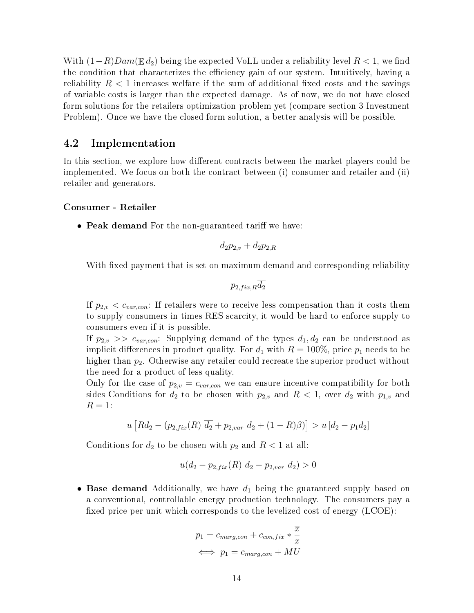With  $(1-R)Dam(\mathbb{E} d_2)$  being the expected VoLL under a reliability level  $R < 1$ , we find the condition that characterizes the efficiency gain of our system. Intuitively, having a reliability  $R < 1$  increases welfare if the sum of additional fixed costs and the savings of variable costs is larger than the expected damage. As of now, we do not have closed form solutions for the retailers optimization problem yet (compare section 3 Investment Problem). Once we have the closed form solution, a better analysis will be possible.

# 4.2 Implementation

In this section, we explore how different contracts between the market players could be implemented. We focus on both the contract between (i) consumer and retailer and (ii) retailer and generators.

#### Consumer - Retailer

• Peak demand For the non-guaranteed tariff we have:

$$
d_2p_{2,v} + \overline{d_2}p_{2,R}
$$

With fixed payment that is set on maximum demand and corresponding reliability

$$
p_{2,fix,R}d_2
$$

If  $p_{2,v} < c_{var,con}$ : If retailers were to receive less compensation than it costs them to supply consumers in times RES scarcity, it would be hard to enforce supply to consumers even if it is possible.

If  $p_{2,v} \gg c_{var,con}$ : Supplying demand of the types  $d_1, d_2$  can be understood as implicit differences in product quality. For  $d_1$  with  $R = 100\%$ , price  $p_1$  needs to be higher than  $p_2$ . Otherwise any retailer could recreate the superior product without the need for a product of less quality.

Only for the case of  $p_{2,v} = c_{var,con}$  we can ensure incentive compatibility for both sides Conditions for  $d_2$  to be chosen with  $p_{2,v}$  and  $R < 1$ , over  $d_2$  with  $p_{1,v}$  and  $R=1$ :

$$
u \left[ R d_2 - (p_{2,fix}(R) \overline{d_2} + p_{2,var} d_2 + (1 - R)\beta) \right] > u \left[ d_2 - p_1 d_2 \right]
$$

Conditions for  $d_2$  to be chosen with  $p_2$  and  $R < 1$  at all:

$$
u(d_2 - p_{2,fix}(R) d_2 - p_{2,var} d_2) > 0
$$

• Base demand Additionally, we have  $d_1$  being the guaranteed supply based on a conventional, controllable energy production technology. The consumers pay a fixed price per unit which corresponds to the levelized cost of energy  $(LCOE)$ :

$$
p_1 = c_{marg,con} + c_{con,fix} * \frac{\overline{x}}{x}
$$

$$
\iff p_1 = c_{marg,con} + MU
$$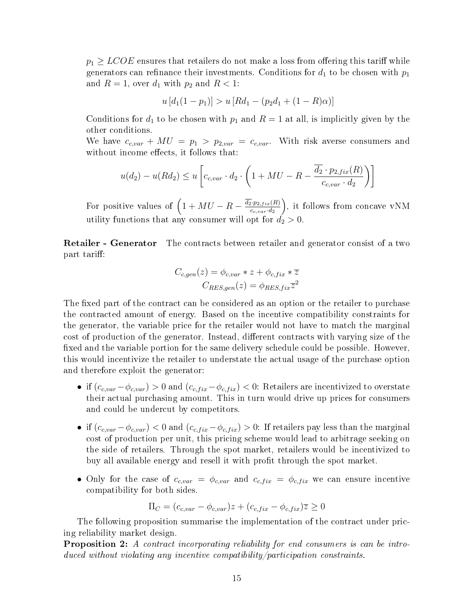$p_1 \geq LCOE$  ensures that retailers do not make a loss from offering this tariff while generators can refinance their investments. Conditions for  $d_1$  to be chosen with  $p_1$ and  $R=1$ , over  $d_1$  with  $p_2$  and  $R<1$ :

$$
u [d_1(1-p_1)] > u [Rd_1 - (p_2d_1 + (1-R)\alpha)]
$$

Conditions for  $d_1$  to be chosen with  $p_1$  and  $R = 1$  at all, is implicitly given by the other conditions.

We have  $c_{c,var} + MU = p_1 > p_{2,var} = c_{c,var}$ . With risk averse consumers and without income effects, it follows that:

$$
u(d_2) - u(Rd_2) \le u \left[ c_{c, var} \cdot d_2 \cdot \left( 1 + MU - R - \frac{\overline{d_2} \cdot p_{2, fix}(R)}{c_{c, var} \cdot d_2} \right) \right]
$$

For positive values of  $\left(1+MU - R - \frac{\overline{d_2 p_2 f_{jx}(R)}}{c}\right)$  $c_{c,var}·d_2$  , it follows from concave vNM utility functions that any consumer will opt for  $d_2 > 0$ .

Retailer - Generator The contracts between retailer and generator consist of a two part tariff:

$$
C_{c,gen}(z) = \phi_{c,var} * z + \phi_{c,fix} * \overline{z}
$$

$$
C_{RES,gen}(z) = \phi_{RES,fix}\overline{z}^{2}
$$

The fixed part of the contract can be considered as an option or the retailer to purchase the contracted amount of energy. Based on the incentive compatibility constraints for the generator, the variable price for the retailer would not have to match the marginal cost of production of the generator. Instead, different contracts with varying size of the fixed and the variable portion for the same delivery schedule could be possible. However, this would incentivize the retailer to understate the actual usage of the purchase option and therefore exploit the generator:

- if  $(c_{c,var} \phi_{c,var}) > 0$  and  $(c_{c,fix} \phi_{c,fix}) < 0$ : Retailers are incentivized to overstate their actual purchasing amount. This in turn would drive up prices for consumers and could be undercut by competitors.
- if  $(c_{c,var} \phi_{c,var}) < 0$  and  $(c_{c,fix} \phi_{c,fix}) > 0$ : If retailers pay less than the marginal cost of production per unit, this pricing scheme would lead to arbitrage seeking on the side of retailers. Through the spot market, retailers would be incentivized to buy all available energy and resell it with profit through the spot market.
- Only for the case of  $c_{c,var} = \phi_{c,var}$  and  $c_{c,fix} = \phi_{c,fix}$  we can ensure incentive compatibility for both sides.

$$
\Pi_C = (c_{c, var} - \phi_{c, var})z + (c_{c, fix} - \phi_{c, fix})\overline{z} \ge 0
$$

The following proposition summarise the implementation of the contract under pricing reliability market design.

**Proposition 2:** A contract incorporating reliability for end consumers is can be introduced without violating any incentive compatibility/participation constraints.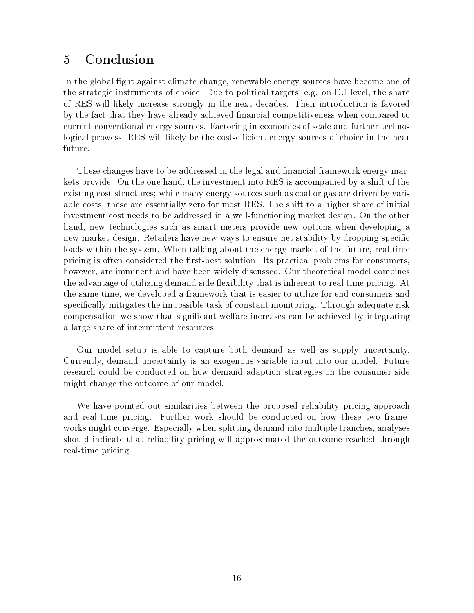# 5 Conclusion

In the global fight against climate change, renewable energy sources have become one of the strategic instruments of choice. Due to political targets, e.g. on EU level, the share of RES will likely increase strongly in the next decades. Their introduction is favored by the fact that they have already achieved nancial competitiveness when compared to current conventional energy sources. Factoring in economies of scale and further technological prowess, RES will likely be the cost-efficient energy sources of choice in the near future.

These changes have to be addressed in the legal and financial framework energy markets provide. On the one hand, the investment into RES is accompanied by a shift of the existing cost structures; while many energy sources such as coal or gas are driven by variable costs, these are essentially zero for most RES. The shift to a higher share of initial investment cost needs to be addressed in a well-functioning market design. On the other hand, new technologies such as smart meters provide new options when developing a new market design. Retailers have new ways to ensure net stability by dropping specific loads within the system. When talking about the energy market of the future, real time pricing is often considered the first-best solution. Its practical problems for consumers, however, are imminent and have been widely discussed. Our theoretical model combines the advantage of utilizing demand side flexibility that is inherent to real time pricing. At the same time, we developed a framework that is easier to utilize for end consumers and specifically mitigates the impossible task of constant monitoring. Through adequate risk compensation we show that signicant welfare increases can be achieved by integrating a large share of intermittent resources.

Our model setup is able to capture both demand as well as supply uncertainty. Currently, demand uncertainty is an exogenous variable input into our model. Future research could be conducted on how demand adaption strategies on the consumer side might change the outcome of our model.

We have pointed out similarities between the proposed reliability pricing approach and real-time pricing. Further work should be conducted on how these two frameworks might converge. Especially when splitting demand into multiple tranches, analyses should indicate that reliability pricing will approximated the outcome reached through real-time pricing.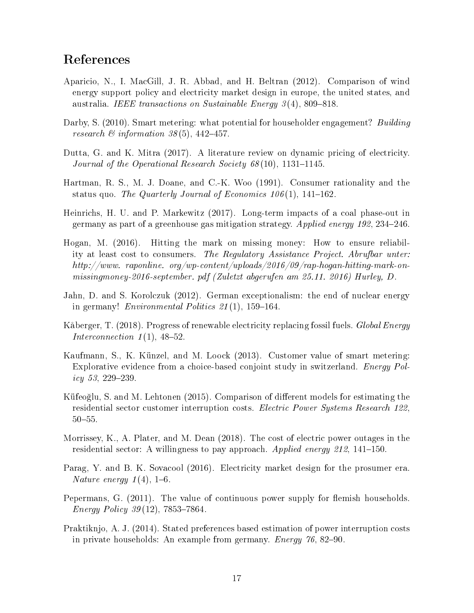# References

- Aparicio, N., I. MacGill, J. R. Abbad, and H. Beltran (2012). Comparison of wind energy support policy and electricity market design in europe, the united states, and australia. IEEE transactions on Sustainable Energy  $3(4)$ , 809–818.
- Darby, S. (2010). Smart metering: what potential for householder engagement? Building research  $\mathcal B$  information 38(5), 442-457.
- Dutta, G. and K. Mitra (2017). A literature review on dynamic pricing of electricity. Journal of the Operational Research Society  $68(10)$ , 1131–1145.
- Hartman, R. S., M. J. Doane, and C.-K. Woo (1991). Consumer rationality and the status quo. The Quarterly Journal of Economics  $106(1)$ , 141-162.
- Heinrichs, H. U. and P. Markewitz (2017). Long-term impacts of a coal phase-out in germany as part of a greenhouse gas mitigation strategy. Applied energy 192, 234246.
- Hogan, M. (2016). Hitting the mark on missing money: How to ensure reliability at least cost to consumers. The Regulatory Assistance Project. Abrufbar unter: http://www. raponline. org/wp-content/uploads/2016/09/rap-hogan-hitting-mark-onmissingmoney-2016-september. pdf (Zuletzt abgerufen am 25.11. 2016) Hurley, D.
- Jahn, D. and S. Korolczuk (2012). German exceptionalism: the end of nuclear energy in germany! *Environmental Politics 21*(1), 159-164.
- Kåberger, T. (2018). Progress of renewable electricity replacing fossil fuels. Global Energy Interconnection  $1(1)$ , 48-52.
- Kaufmann, S., K. Künzel, and M. Loock (2013). Customer value of smart metering: Explorative evidence from a choice-based conjoint study in switzerland. Energy Policy 53, 229–239.
- Küfeoğlu, S. and M. Lehtonen (2015). Comparison of different models for estimating the residential sector customer interruption costs. Electric Power Systems Research 122,  $50 - 55.$
- Morrissey, K., A. Plater, and M. Dean (2018). The cost of electric power outages in the residential sector: A willingness to pay approach. Applied energy 212, 141–150.
- Parag, Y. and B. K. Sovacool (2016). Electricity market design for the prosumer era. Nature energy  $1(4)$ , 1–6.
- Pepermans, G.  $(2011)$ . The value of continuous power supply for flemish households. *Energy Policy 39*(12), 7853-7864.
- Praktiknjo, A. J. (2014). Stated preferences based estimation of power interruption costs in private households: An example from germany. *Energy*  $76, 82-90$ .